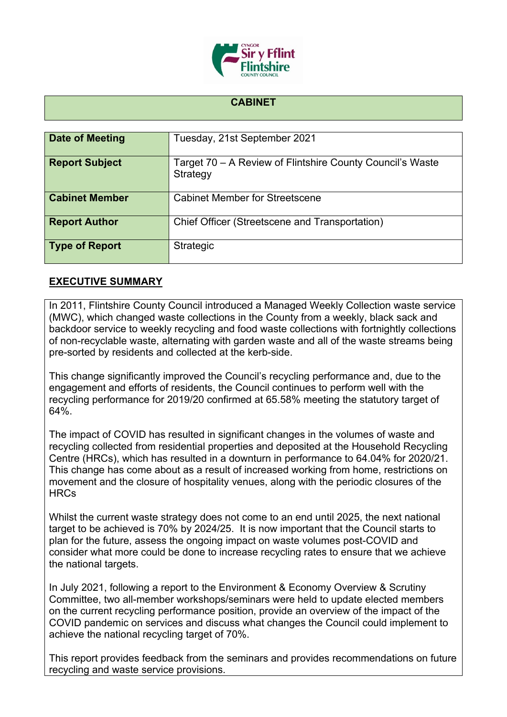

## **CABINET**

| Date of Meeting       | Tuesday, 21st September 2021                                          |
|-----------------------|-----------------------------------------------------------------------|
| <b>Report Subject</b> | Target 70 – A Review of Flintshire County Council's Waste<br>Strategy |
| <b>Cabinet Member</b> | <b>Cabinet Member for Streetscene</b>                                 |
| <b>Report Author</b>  | Chief Officer (Streetscene and Transportation)                        |
| Type of Report        | <b>Strategic</b>                                                      |

## **EXECUTIVE SUMMARY**

In 2011, Flintshire County Council introduced a Managed Weekly Collection waste service (MWC), which changed waste collections in the County from a weekly, black sack and backdoor service to weekly recycling and food waste collections with fortnightly collections of non-recyclable waste, alternating with garden waste and all of the waste streams being pre-sorted by residents and collected at the kerb-side.

This change significantly improved the Council's recycling performance and, due to the engagement and efforts of residents, the Council continues to perform well with the recycling performance for 2019/20 confirmed at 65.58% meeting the statutory target of 64%.

The impact of COVID has resulted in significant changes in the volumes of waste and recycling collected from residential properties and deposited at the Household Recycling Centre (HRCs), which has resulted in a downturn in performance to 64.04% for 2020/21. This change has come about as a result of increased working from home, restrictions on movement and the closure of hospitality venues, along with the periodic closures of the **HRCs** 

Whilst the current waste strategy does not come to an end until 2025, the next national target to be achieved is 70% by 2024/25. It is now important that the Council starts to plan for the future, assess the ongoing impact on waste volumes post-COVID and consider what more could be done to increase recycling rates to ensure that we achieve the national targets.

In July 2021, following a report to the Environment & Economy Overview & Scrutiny Committee, two all-member workshops/seminars were held to update elected members on the current recycling performance position, provide an overview of the impact of the COVID pandemic on services and discuss what changes the Council could implement to achieve the national recycling target of 70%.

This report provides feedback from the seminars and provides recommendations on future recycling and waste service provisions.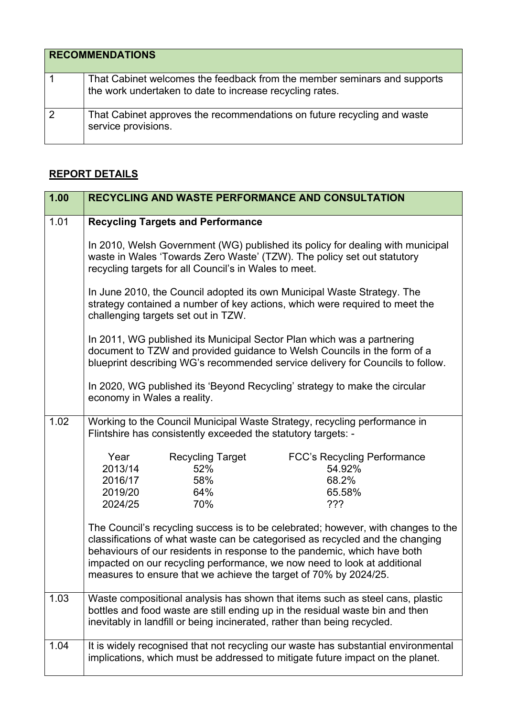| <b>RECOMMENDATIONS</b> |                                                                                                                                      |  |
|------------------------|--------------------------------------------------------------------------------------------------------------------------------------|--|
|                        | That Cabinet welcomes the feedback from the member seminars and supports<br>the work undertaken to date to increase recycling rates. |  |
| $\overline{2}$         | That Cabinet approves the recommendations on future recycling and waste<br>service provisions.                                       |  |

## **REPORT DETAILS**

| 1.00 | RECYCLING AND WASTE PERFORMANCE AND CONSULTATION                                                                                                                                                                                                                                                                                                                                               |  |  |
|------|------------------------------------------------------------------------------------------------------------------------------------------------------------------------------------------------------------------------------------------------------------------------------------------------------------------------------------------------------------------------------------------------|--|--|
| 1.01 | <b>Recycling Targets and Performance</b>                                                                                                                                                                                                                                                                                                                                                       |  |  |
|      | In 2010, Welsh Government (WG) published its policy for dealing with municipal<br>waste in Wales 'Towards Zero Waste' (TZW). The policy set out statutory<br>recycling targets for all Council's in Wales to meet.                                                                                                                                                                             |  |  |
|      | In June 2010, the Council adopted its own Municipal Waste Strategy. The<br>strategy contained a number of key actions, which were required to meet the<br>challenging targets set out in TZW.                                                                                                                                                                                                  |  |  |
|      | In 2011, WG published its Municipal Sector Plan which was a partnering<br>document to TZW and provided guidance to Welsh Councils in the form of a<br>blueprint describing WG's recommended service delivery for Councils to follow.                                                                                                                                                           |  |  |
|      | In 2020, WG published its 'Beyond Recycling' strategy to make the circular<br>economy in Wales a reality.                                                                                                                                                                                                                                                                                      |  |  |
| 1.02 | Working to the Council Municipal Waste Strategy, recycling performance in<br>Flintshire has consistently exceeded the statutory targets: -                                                                                                                                                                                                                                                     |  |  |
|      | Year<br><b>Recycling Target</b><br><b>FCC's Recycling Performance</b><br>2013/14<br>52%<br>54.92%                                                                                                                                                                                                                                                                                              |  |  |
|      | 58%<br>2016/17<br>68.2%                                                                                                                                                                                                                                                                                                                                                                        |  |  |
|      | 2019/20<br>64%<br>65.58%<br>???<br>2024/25<br>70%                                                                                                                                                                                                                                                                                                                                              |  |  |
|      | The Council's recycling success is to be celebrated; however, with changes to the<br>classifications of what waste can be categorised as recycled and the changing<br>behaviours of our residents in response to the pandemic, which have both<br>impacted on our recycling performance, we now need to look at additional<br>measures to ensure that we achieve the target of 70% by 2024/25. |  |  |
| 1.03 | Waste compositional analysis has shown that items such as steel cans, plastic<br>bottles and food waste are still ending up in the residual waste bin and then<br>inevitably in landfill or being incinerated, rather than being recycled.                                                                                                                                                     |  |  |
| 1.04 | It is widely recognised that not recycling our waste has substantial environmental<br>implications, which must be addressed to mitigate future impact on the planet.                                                                                                                                                                                                                           |  |  |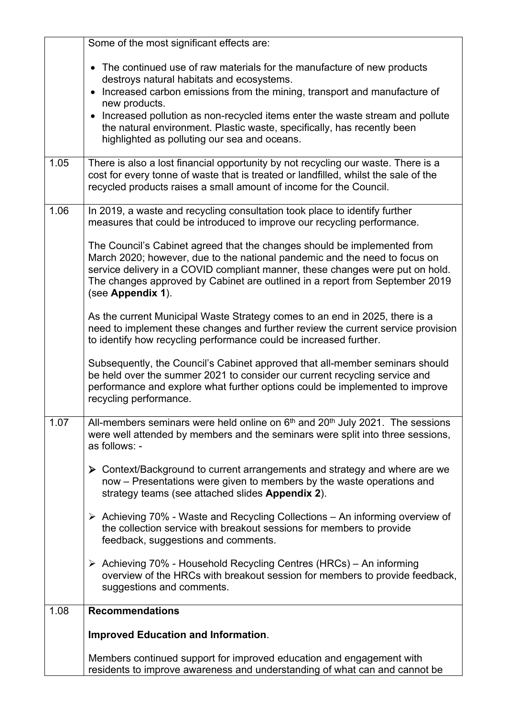|      | Some of the most significant effects are:                                                                                                                                                                                                                                                                                                                                                                                                                                                                                                                                                                                                                                                                                                                                                                                                                                                                                                                                                                             |
|------|-----------------------------------------------------------------------------------------------------------------------------------------------------------------------------------------------------------------------------------------------------------------------------------------------------------------------------------------------------------------------------------------------------------------------------------------------------------------------------------------------------------------------------------------------------------------------------------------------------------------------------------------------------------------------------------------------------------------------------------------------------------------------------------------------------------------------------------------------------------------------------------------------------------------------------------------------------------------------------------------------------------------------|
|      | The continued use of raw materials for the manufacture of new products<br>destroys natural habitats and ecosystems.<br>• Increased carbon emissions from the mining, transport and manufacture of<br>new products.<br>Increased pollution as non-recycled items enter the waste stream and pollute<br>the natural environment. Plastic waste, specifically, has recently been<br>highlighted as polluting our sea and oceans.                                                                                                                                                                                                                                                                                                                                                                                                                                                                                                                                                                                         |
| 1.05 | There is also a lost financial opportunity by not recycling our waste. There is a<br>cost for every tonne of waste that is treated or landfilled, whilst the sale of the<br>recycled products raises a small amount of income for the Council.                                                                                                                                                                                                                                                                                                                                                                                                                                                                                                                                                                                                                                                                                                                                                                        |
| 1.06 | In 2019, a waste and recycling consultation took place to identify further<br>measures that could be introduced to improve our recycling performance.<br>The Council's Cabinet agreed that the changes should be implemented from<br>March 2020; however, due to the national pandemic and the need to focus on<br>service delivery in a COVID compliant manner, these changes were put on hold.<br>The changes approved by Cabinet are outlined in a report from September 2019<br>(see Appendix 1).<br>As the current Municipal Waste Strategy comes to an end in 2025, there is a<br>need to implement these changes and further review the current service provision<br>to identify how recycling performance could be increased further.<br>Subsequently, the Council's Cabinet approved that all-member seminars should<br>be held over the summer 2021 to consider our current recycling service and<br>performance and explore what further options could be implemented to improve<br>recycling performance. |
| 1.07 | All-members seminars were held online on $6th$ and $20th$ July 2021. The sessions<br>were well attended by members and the seminars were split into three sessions,<br>as follows: -<br>▶ Context/Background to current arrangements and strategy and where are we<br>now – Presentations were given to members by the waste operations and<br>strategy teams (see attached slides Appendix 2).<br>> Achieving 70% - Waste and Recycling Collections - An informing overview of<br>the collection service with breakout sessions for members to provide<br>feedback, suggestions and comments.<br>▶ Achieving 70% - Household Recycling Centres (HRCs) – An informing<br>overview of the HRCs with breakout session for members to provide feedback,<br>suggestions and comments.                                                                                                                                                                                                                                     |
| 1.08 | <b>Recommendations</b>                                                                                                                                                                                                                                                                                                                                                                                                                                                                                                                                                                                                                                                                                                                                                                                                                                                                                                                                                                                                |
|      | <b>Improved Education and Information.</b>                                                                                                                                                                                                                                                                                                                                                                                                                                                                                                                                                                                                                                                                                                                                                                                                                                                                                                                                                                            |
|      | Members continued support for improved education and engagement with<br>residents to improve awareness and understanding of what can and cannot be                                                                                                                                                                                                                                                                                                                                                                                                                                                                                                                                                                                                                                                                                                                                                                                                                                                                    |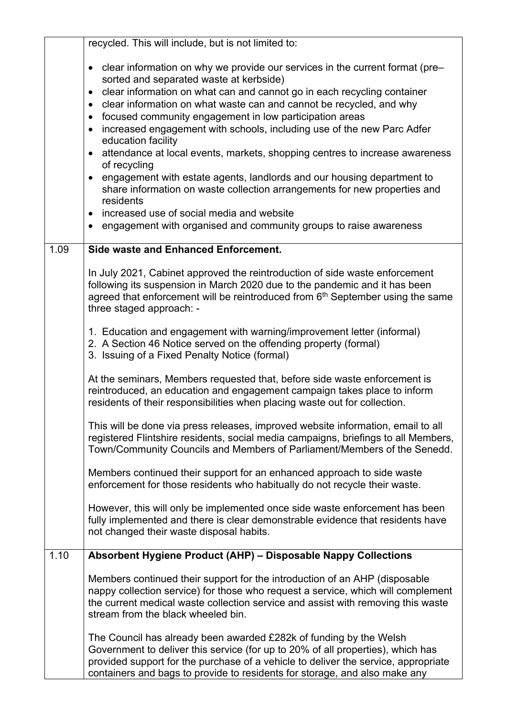|      | recycled. This will include, but is not limited to:                                                                                                                                                                                                                                                                                                                                                                                                                                                                                                                                                                                                                                                                                                                                                                                                                                                                                 |
|------|-------------------------------------------------------------------------------------------------------------------------------------------------------------------------------------------------------------------------------------------------------------------------------------------------------------------------------------------------------------------------------------------------------------------------------------------------------------------------------------------------------------------------------------------------------------------------------------------------------------------------------------------------------------------------------------------------------------------------------------------------------------------------------------------------------------------------------------------------------------------------------------------------------------------------------------|
|      | clear information on why we provide our services in the current format (pre-<br>$\bullet$<br>sorted and separated waste at kerbside)<br>clear information on what can and cannot go in each recycling container<br>$\bullet$<br>clear information on what waste can and cannot be recycled, and why<br>$\bullet$<br>focused community engagement in low participation areas<br>$\bullet$<br>increased engagement with schools, including use of the new Parc Adfer<br>$\bullet$<br>education facility<br>attendance at local events, markets, shopping centres to increase awareness<br>$\bullet$<br>of recycling<br>engagement with estate agents, landlords and our housing department to<br>$\bullet$<br>share information on waste collection arrangements for new properties and<br>residents<br>• increased use of social media and website<br>engagement with organised and community groups to raise awareness<br>$\bullet$ |
| 1.09 | <b>Side waste and Enhanced Enforcement.</b>                                                                                                                                                                                                                                                                                                                                                                                                                                                                                                                                                                                                                                                                                                                                                                                                                                                                                         |
|      | In July 2021, Cabinet approved the reintroduction of side waste enforcement<br>following its suspension in March 2020 due to the pandemic and it has been<br>agreed that enforcement will be reintroduced from 6th September using the same<br>three staged approach: -                                                                                                                                                                                                                                                                                                                                                                                                                                                                                                                                                                                                                                                             |
|      | 1. Education and engagement with warning/improvement letter (informal)<br>2. A Section 46 Notice served on the offending property (formal)<br>3. Issuing of a Fixed Penalty Notice (formal)                                                                                                                                                                                                                                                                                                                                                                                                                                                                                                                                                                                                                                                                                                                                         |
|      | At the seminars, Members requested that, before side waste enforcement is<br>reintroduced, an education and engagement campaign takes place to inform<br>residents of their responsibilities when placing waste out for collection.                                                                                                                                                                                                                                                                                                                                                                                                                                                                                                                                                                                                                                                                                                 |
|      | This will be done via press releases, improved website information, email to all<br>registered Flintshire residents, social media campaigns, briefings to all Members,<br>Town/Community Councils and Members of Parliament/Members of the Senedd.                                                                                                                                                                                                                                                                                                                                                                                                                                                                                                                                                                                                                                                                                  |
|      | Members continued their support for an enhanced approach to side waste<br>enforcement for those residents who habitually do not recycle their waste.                                                                                                                                                                                                                                                                                                                                                                                                                                                                                                                                                                                                                                                                                                                                                                                |
|      | However, this will only be implemented once side waste enforcement has been<br>fully implemented and there is clear demonstrable evidence that residents have<br>not changed their waste disposal habits.                                                                                                                                                                                                                                                                                                                                                                                                                                                                                                                                                                                                                                                                                                                           |
| 1.10 | Absorbent Hygiene Product (AHP) - Disposable Nappy Collections                                                                                                                                                                                                                                                                                                                                                                                                                                                                                                                                                                                                                                                                                                                                                                                                                                                                      |
|      | Members continued their support for the introduction of an AHP (disposable<br>nappy collection service) for those who request a service, which will complement<br>the current medical waste collection service and assist with removing this waste<br>stream from the black wheeled bin.                                                                                                                                                                                                                                                                                                                                                                                                                                                                                                                                                                                                                                            |
|      | The Council has already been awarded £282k of funding by the Welsh<br>Government to deliver this service (for up to 20% of all properties), which has<br>provided support for the purchase of a vehicle to deliver the service, appropriate<br>containers and bags to provide to residents for storage, and also make any                                                                                                                                                                                                                                                                                                                                                                                                                                                                                                                                                                                                           |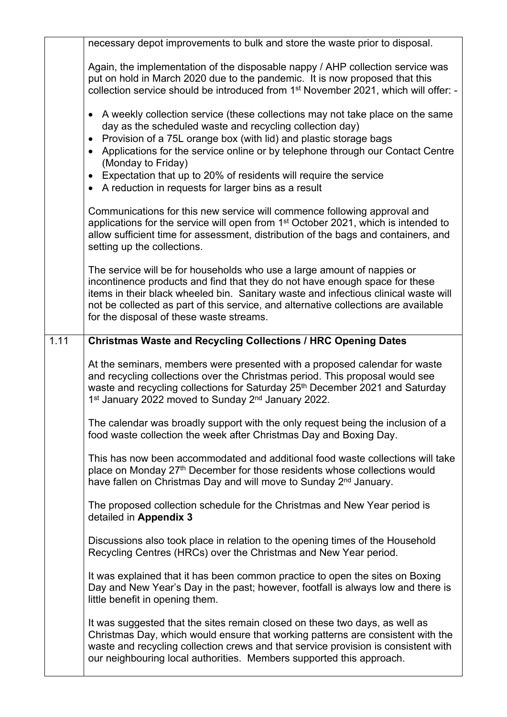|      | necessary depot improvements to bulk and store the waste prior to disposal.                                                                                                                                                                                                                                                                                                      |
|------|----------------------------------------------------------------------------------------------------------------------------------------------------------------------------------------------------------------------------------------------------------------------------------------------------------------------------------------------------------------------------------|
|      | Again, the implementation of the disposable nappy / AHP collection service was<br>put on hold in March 2020 due to the pandemic. It is now proposed that this<br>collection service should be introduced from 1 <sup>st</sup> November 2021, which will offer: -                                                                                                                 |
|      | A weekly collection service (these collections may not take place on the same<br>$\bullet$<br>day as the scheduled waste and recycling collection day)<br>Provision of a 75L orange box (with lid) and plastic storage bags<br>$\bullet$                                                                                                                                         |
|      | Applications for the service online or by telephone through our Contact Centre<br>$\bullet$<br>(Monday to Friday)                                                                                                                                                                                                                                                                |
|      | Expectation that up to 20% of residents will require the service<br>$\bullet$<br>• A reduction in requests for larger bins as a result                                                                                                                                                                                                                                           |
|      | Communications for this new service will commence following approval and<br>applications for the service will open from 1 <sup>st</sup> October 2021, which is intended to<br>allow sufficient time for assessment, distribution of the bags and containers, and<br>setting up the collections.                                                                                  |
|      | The service will be for households who use a large amount of nappies or<br>incontinence products and find that they do not have enough space for these<br>items in their black wheeled bin. Sanitary waste and infectious clinical waste will<br>not be collected as part of this service, and alternative collections are available<br>for the disposal of these waste streams. |
| 1.11 | <b>Christmas Waste and Recycling Collections / HRC Opening Dates</b>                                                                                                                                                                                                                                                                                                             |
|      | At the seminars, members were presented with a proposed calendar for waste<br>and recycling collections over the Christmas period. This proposal would see<br>waste and recycling collections for Saturday 25 <sup>th</sup> December 2021 and Saturday<br>1 <sup>st</sup> January 2022 moved to Sunday 2 <sup>nd</sup> January 2022.                                             |
|      | The calendar was broadly support with the only request being the inclusion of a<br>food waste collection the week after Christmas Day and Boxing Day.                                                                                                                                                                                                                            |
|      | This has now been accommodated and additional food waste collections will take<br>place on Monday 27 <sup>th</sup> December for those residents whose collections would<br>have fallen on Christmas Day and will move to Sunday 2 <sup>nd</sup> January.                                                                                                                         |
|      | The proposed collection schedule for the Christmas and New Year period is<br>detailed in Appendix 3                                                                                                                                                                                                                                                                              |
|      | Discussions also took place in relation to the opening times of the Household<br>Recycling Centres (HRCs) over the Christmas and New Year period.                                                                                                                                                                                                                                |
|      | It was explained that it has been common practice to open the sites on Boxing<br>Day and New Year's Day in the past; however, footfall is always low and there is<br>little benefit in opening them.                                                                                                                                                                             |
|      | It was suggested that the sites remain closed on these two days, as well as<br>Christmas Day, which would ensure that working patterns are consistent with the<br>waste and recycling collection crews and that service provision is consistent with<br>our neighbouring local authorities. Members supported this approach.                                                     |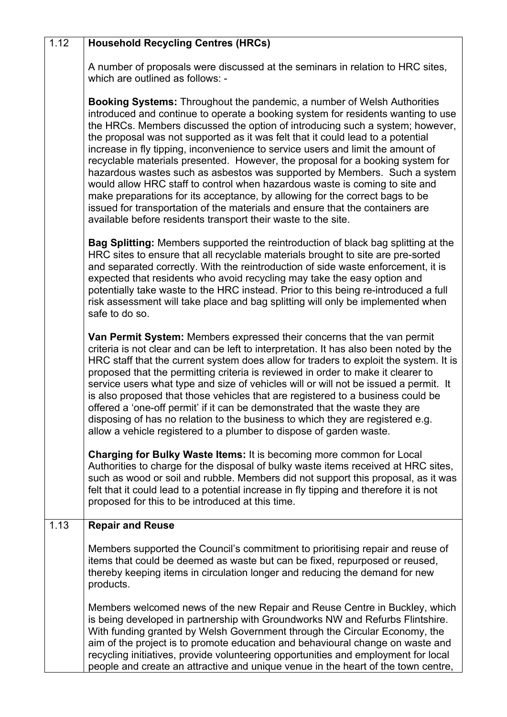| 1.12 | Household Recycling Centres (HRCs) |
|------|------------------------------------|
|------|------------------------------------|

A number of proposals were discussed at the seminars in relation to HRC sites, which are outlined as follows: -

**Booking Systems:** Throughout the pandemic, a number of Welsh Authorities introduced and continue to operate a booking system for residents wanting to use the HRCs. Members discussed the option of introducing such a system; however, the proposal was not supported as it was felt that it could lead to a potential increase in fly tipping, inconvenience to service users and limit the amount of recyclable materials presented. However, the proposal for a booking system for hazardous wastes such as asbestos was supported by Members. Such a system would allow HRC staff to control when hazardous waste is coming to site and make preparations for its acceptance, by allowing for the correct bags to be issued for transportation of the materials and ensure that the containers are available before residents transport their waste to the site.

**Bag Splitting:** Members supported the reintroduction of black bag splitting at the HRC sites to ensure that all recyclable materials brought to site are pre-sorted and separated correctly. With the reintroduction of side waste enforcement, it is expected that residents who avoid recycling may take the easy option and potentially take waste to the HRC instead. Prior to this being re-introduced a full risk assessment will take place and bag splitting will only be implemented when safe to do so.

**Van Permit System:** Members expressed their concerns that the van permit criteria is not clear and can be left to interpretation. It has also been noted by the HRC staff that the current system does allow for traders to exploit the system. It is proposed that the permitting criteria is reviewed in order to make it clearer to service users what type and size of vehicles will or will not be issued a permit. It is also proposed that those vehicles that are registered to a business could be offered a 'one-off permit' if it can be demonstrated that the waste they are disposing of has no relation to the business to which they are registered e.g. allow a vehicle registered to a plumber to dispose of garden waste.

**Charging for Bulky Waste Items:** It is becoming more common for Local Authorities to charge for the disposal of bulky waste items received at HRC sites, such as wood or soil and rubble. Members did not support this proposal, as it was felt that it could lead to a potential increase in fly tipping and therefore it is not proposed for this to be introduced at this time.

## 1.13 **Repair and Reuse**

Members supported the Council's commitment to prioritising repair and reuse of items that could be deemed as waste but can be fixed, repurposed or reused, thereby keeping items in circulation longer and reducing the demand for new products.

Members welcomed news of the new Repair and Reuse Centre in Buckley, which is being developed in partnership with Groundworks NW and Refurbs Flintshire. With funding granted by Welsh Government through the Circular Economy, the aim of the project is to promote education and behavioural change on waste and recycling initiatives, provide volunteering opportunities and employment for local people and create an attractive and unique venue in the heart of the town centre,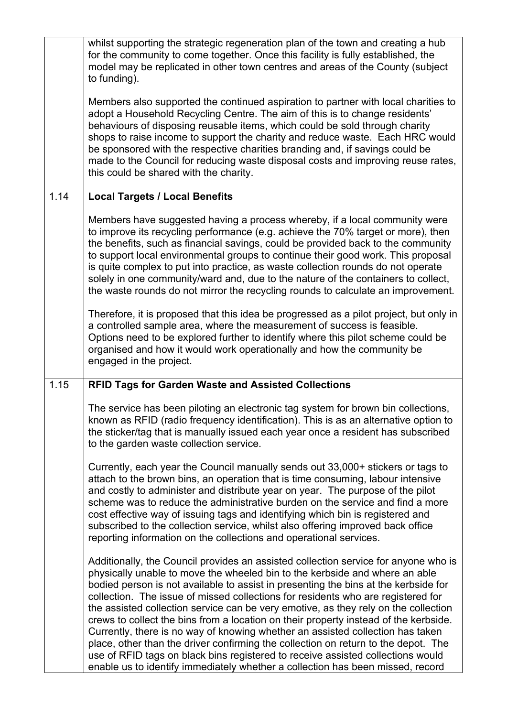|      | whilst supporting the strategic regeneration plan of the town and creating a hub<br>for the community to come together. Once this facility is fully established, the<br>model may be replicated in other town centres and areas of the County (subject<br>to funding).                                                                                                                                                                                                                                                                                                                                                                                                                                                                                                                                                                                                    |
|------|---------------------------------------------------------------------------------------------------------------------------------------------------------------------------------------------------------------------------------------------------------------------------------------------------------------------------------------------------------------------------------------------------------------------------------------------------------------------------------------------------------------------------------------------------------------------------------------------------------------------------------------------------------------------------------------------------------------------------------------------------------------------------------------------------------------------------------------------------------------------------|
|      | Members also supported the continued aspiration to partner with local charities to<br>adopt a Household Recycling Centre. The aim of this is to change residents'<br>behaviours of disposing reusable items, which could be sold through charity<br>shops to raise income to support the charity and reduce waste. Each HRC would<br>be sponsored with the respective charities branding and, if savings could be<br>made to the Council for reducing waste disposal costs and improving reuse rates,<br>this could be shared with the charity.                                                                                                                                                                                                                                                                                                                           |
| 1.14 | <b>Local Targets / Local Benefits</b>                                                                                                                                                                                                                                                                                                                                                                                                                                                                                                                                                                                                                                                                                                                                                                                                                                     |
|      | Members have suggested having a process whereby, if a local community were<br>to improve its recycling performance (e.g. achieve the 70% target or more), then<br>the benefits, such as financial savings, could be provided back to the community<br>to support local environmental groups to continue their good work. This proposal<br>is quite complex to put into practice, as waste collection rounds do not operate<br>solely in one community/ward and, due to the nature of the containers to collect,<br>the waste rounds do not mirror the recycling rounds to calculate an improvement.                                                                                                                                                                                                                                                                       |
|      | Therefore, it is proposed that this idea be progressed as a pilot project, but only in<br>a controlled sample area, where the measurement of success is feasible.<br>Options need to be explored further to identify where this pilot scheme could be<br>organised and how it would work operationally and how the community be<br>engaged in the project.                                                                                                                                                                                                                                                                                                                                                                                                                                                                                                                |
| 1.15 | <b>RFID Tags for Garden Waste and Assisted Collections</b>                                                                                                                                                                                                                                                                                                                                                                                                                                                                                                                                                                                                                                                                                                                                                                                                                |
|      | The service has been piloting an electronic tag system for brown bin collections,<br>known as RFID (radio frequency identification). This is as an alternative option to<br>the sticker/tag that is manually issued each year once a resident has subscribed<br>to the garden waste collection service.                                                                                                                                                                                                                                                                                                                                                                                                                                                                                                                                                                   |
|      | Currently, each year the Council manually sends out 33,000+ stickers or tags to<br>attach to the brown bins, an operation that is time consuming, labour intensive<br>and costly to administer and distribute year on year. The purpose of the pilot<br>scheme was to reduce the administrative burden on the service and find a more<br>cost effective way of issuing tags and identifying which bin is registered and<br>subscribed to the collection service, whilst also offering improved back office<br>reporting information on the collections and operational services.                                                                                                                                                                                                                                                                                          |
|      | Additionally, the Council provides an assisted collection service for anyone who is<br>physically unable to move the wheeled bin to the kerbside and where an able<br>bodied person is not available to assist in presenting the bins at the kerbside for<br>collection. The issue of missed collections for residents who are registered for<br>the assisted collection service can be very emotive, as they rely on the collection<br>crews to collect the bins from a location on their property instead of the kerbside.<br>Currently, there is no way of knowing whether an assisted collection has taken<br>place, other than the driver confirming the collection on return to the depot. The<br>use of RFID tags on black bins registered to receive assisted collections would<br>enable us to identify immediately whether a collection has been missed, record |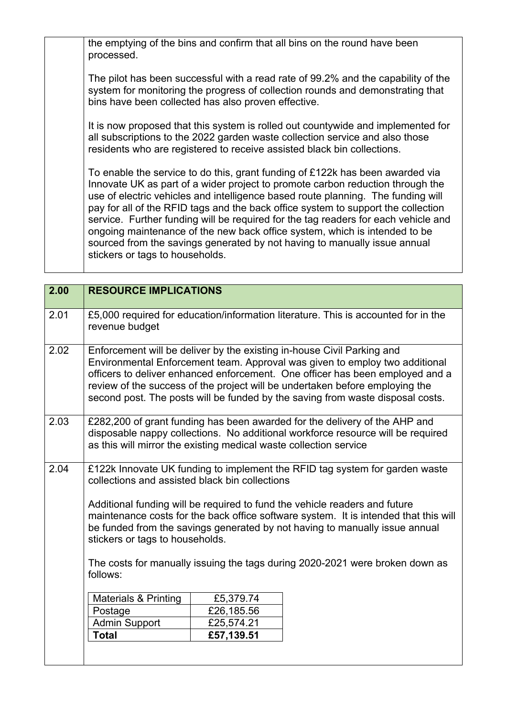the emptying of the bins and confirm that all bins on the round have been processed.

The pilot has been successful with a read rate of 99.2% and the capability of the system for monitoring the progress of collection rounds and demonstrating that bins have been collected has also proven effective.

It is now proposed that this system is rolled out countywide and implemented for all subscriptions to the 2022 garden waste collection service and also those residents who are registered to receive assisted black bin collections.

To enable the service to do this, grant funding of £122k has been awarded via Innovate UK as part of a wider project to promote carbon reduction through the use of electric vehicles and intelligence based route planning. The funding will pay for all of the RFID tags and the back office system to support the collection service. Further funding will be required for the tag readers for each vehicle and ongoing maintenance of the new back office system, which is intended to be sourced from the savings generated by not having to manually issue annual stickers or tags to households.

| 2.00 | <b>RESOURCE IMPLICATIONS</b>                                                                                                                                                                                                                                                                                                                                                                                                                                                                                      |            |
|------|-------------------------------------------------------------------------------------------------------------------------------------------------------------------------------------------------------------------------------------------------------------------------------------------------------------------------------------------------------------------------------------------------------------------------------------------------------------------------------------------------------------------|------------|
| 2.01 | £5,000 required for education/information literature. This is accounted for in the<br>revenue budget                                                                                                                                                                                                                                                                                                                                                                                                              |            |
| 2.02 | Enforcement will be deliver by the existing in-house Civil Parking and<br>Environmental Enforcement team. Approval was given to employ two additional<br>officers to deliver enhanced enforcement. One officer has been employed and a<br>review of the success of the project will be undertaken before employing the<br>second post. The posts will be funded by the saving from waste disposal costs.                                                                                                          |            |
| 2.03 | £282,200 of grant funding has been awarded for the delivery of the AHP and<br>disposable nappy collections. No additional workforce resource will be required<br>as this will mirror the existing medical waste collection service                                                                                                                                                                                                                                                                                |            |
| 2.04 | £122k Innovate UK funding to implement the RFID tag system for garden waste<br>collections and assisted black bin collections<br>Additional funding will be required to fund the vehicle readers and future<br>maintenance costs for the back office software system. It is intended that this will<br>be funded from the savings generated by not having to manually issue annual<br>stickers or tags to households.<br>The costs for manually issuing the tags during 2020-2021 were broken down as<br>follows: |            |
|      |                                                                                                                                                                                                                                                                                                                                                                                                                                                                                                                   |            |
|      |                                                                                                                                                                                                                                                                                                                                                                                                                                                                                                                   |            |
|      | <b>Materials &amp; Printing</b>                                                                                                                                                                                                                                                                                                                                                                                                                                                                                   | £5,379.74  |
|      | Postage                                                                                                                                                                                                                                                                                                                                                                                                                                                                                                           | £26,185.56 |
|      | <b>Admin Support</b>                                                                                                                                                                                                                                                                                                                                                                                                                                                                                              | £25,574.21 |
|      | <b>Total</b>                                                                                                                                                                                                                                                                                                                                                                                                                                                                                                      | £57,139.51 |
|      |                                                                                                                                                                                                                                                                                                                                                                                                                                                                                                                   |            |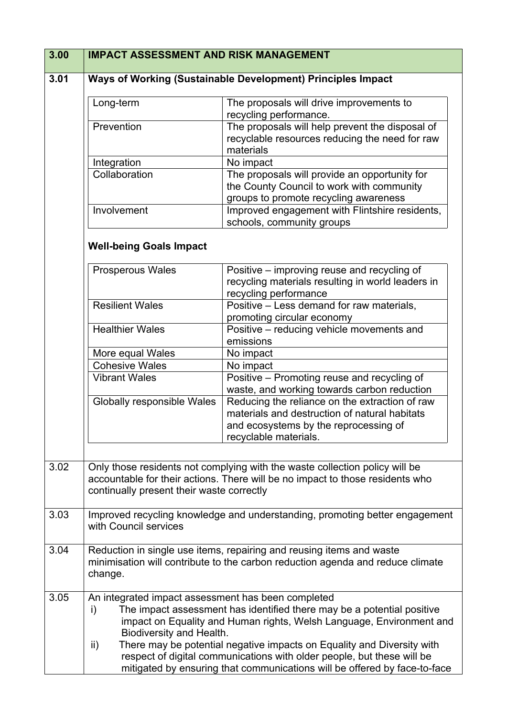| 3.00 | <b>IMPACT ASSESSMENT AND RISK MANAGEMENT</b>                                                |                                                                                                                                                                                                                                                                                                    |
|------|---------------------------------------------------------------------------------------------|----------------------------------------------------------------------------------------------------------------------------------------------------------------------------------------------------------------------------------------------------------------------------------------------------|
| 3.01 |                                                                                             | Ways of Working (Sustainable Development) Principles Impact                                                                                                                                                                                                                                        |
|      | Long-term                                                                                   | The proposals will drive improvements to<br>recycling performance.                                                                                                                                                                                                                                 |
|      | Prevention                                                                                  | The proposals will help prevent the disposal of<br>recyclable resources reducing the need for raw<br>materials                                                                                                                                                                                     |
|      | Integration                                                                                 | No impact                                                                                                                                                                                                                                                                                          |
|      | Collaboration                                                                               | The proposals will provide an opportunity for<br>the County Council to work with community<br>groups to promote recycling awareness                                                                                                                                                                |
|      | Involvement                                                                                 | Improved engagement with Flintshire residents,<br>schools, community groups                                                                                                                                                                                                                        |
|      | <b>Well-being Goals Impact</b>                                                              |                                                                                                                                                                                                                                                                                                    |
|      | <b>Prosperous Wales</b>                                                                     | Positive – improving reuse and recycling of<br>recycling materials resulting in world leaders in<br>recycling performance                                                                                                                                                                          |
|      | <b>Resilient Wales</b>                                                                      | Positive - Less demand for raw materials,<br>promoting circular economy                                                                                                                                                                                                                            |
|      | <b>Healthier Wales</b>                                                                      | Positive - reducing vehicle movements and<br>emissions                                                                                                                                                                                                                                             |
|      | More equal Wales                                                                            | No impact                                                                                                                                                                                                                                                                                          |
|      | <b>Cohesive Wales</b>                                                                       | No impact                                                                                                                                                                                                                                                                                          |
|      | <b>Vibrant Wales</b>                                                                        | Positive - Promoting reuse and recycling of<br>waste, and working towards carbon reduction                                                                                                                                                                                                         |
|      | <b>Globally responsible Wales</b>                                                           | Reducing the reliance on the extraction of raw<br>materials and destruction of natural habitats<br>and ecosystems by the reprocessing of<br>recyclable materials.                                                                                                                                  |
|      |                                                                                             |                                                                                                                                                                                                                                                                                                    |
| 3.02 | continually present their waste correctly                                                   | Only those residents not complying with the waste collection policy will be<br>accountable for their actions. There will be no impact to those residents who                                                                                                                                       |
| 3.03 | with Council services                                                                       | Improved recycling knowledge and understanding, promoting better engagement                                                                                                                                                                                                                        |
| 3.04 | change.                                                                                     | Reduction in single use items, repairing and reusing items and waste<br>minimisation will contribute to the carbon reduction agenda and reduce climate                                                                                                                                             |
| 3.05 | An integrated impact assessment has been completed<br>i)<br>Biodiversity and Health.<br>ii) | The impact assessment has identified there may be a potential positive<br>impact on Equality and Human rights, Welsh Language, Environment and<br>There may be potential negative impacts on Equality and Diversity with<br>respect of digital communications with older people, but these will be |
|      |                                                                                             | mitigated by ensuring that communications will be offered by face-to-face                                                                                                                                                                                                                          |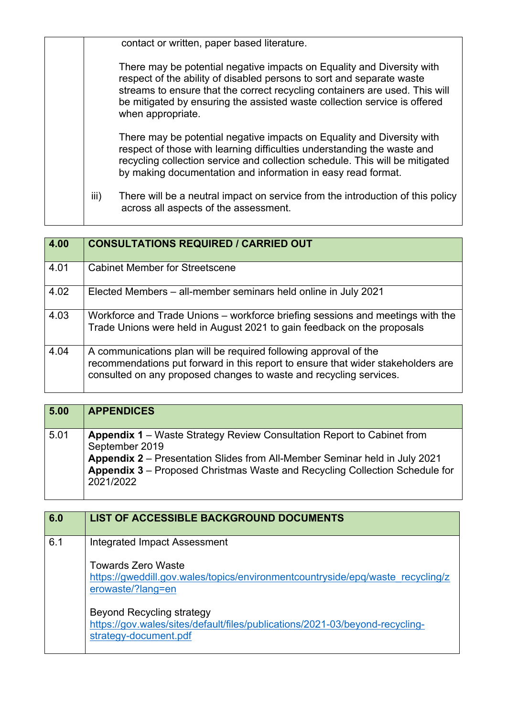|      | contact or written, paper based literature.                                                                                                                                                                                                                                                                                      |
|------|----------------------------------------------------------------------------------------------------------------------------------------------------------------------------------------------------------------------------------------------------------------------------------------------------------------------------------|
|      | There may be potential negative impacts on Equality and Diversity with<br>respect of the ability of disabled persons to sort and separate waste<br>streams to ensure that the correct recycling containers are used. This will<br>be mitigated by ensuring the assisted waste collection service is offered<br>when appropriate. |
|      | There may be potential negative impacts on Equality and Diversity with<br>respect of those with learning difficulties understanding the waste and<br>recycling collection service and collection schedule. This will be mitigated<br>by making documentation and information in easy read format.                                |
| iii) | There will be a neutral impact on service from the introduction of this policy<br>across all aspects of the assessment.                                                                                                                                                                                                          |

| 4.00 | <b>CONSULTATIONS REQUIRED / CARRIED OUT</b>                                                                                                                                                                                |
|------|----------------------------------------------------------------------------------------------------------------------------------------------------------------------------------------------------------------------------|
| 4.01 | <b>Cabinet Member for Streetscene</b>                                                                                                                                                                                      |
| 4.02 | Elected Members – all-member seminars held online in July 2021                                                                                                                                                             |
| 4.03 | Workforce and Trade Unions - workforce briefing sessions and meetings with the<br>Trade Unions were held in August 2021 to gain feedback on the proposals                                                                  |
| 4.04 | A communications plan will be required following approval of the<br>recommendations put forward in this report to ensure that wider stakeholders are<br>consulted on any proposed changes to waste and recycling services. |

| 5.00 | <b>APPENDICES</b>                                                                                                                                                                                                                                                                |
|------|----------------------------------------------------------------------------------------------------------------------------------------------------------------------------------------------------------------------------------------------------------------------------------|
| 5.01 | <b>Appendix 1</b> – Waste Strategy Review Consultation Report to Cabinet from<br>September 2019<br>Appendix 2 – Presentation Slides from All-Member Seminar held in July 2021<br><b>Appendix 3</b> – Proposed Christmas Waste and Recycling Collection Schedule for<br>2021/2022 |

| 6.0 | <b>LIST OF ACCESSIBLE BACKGROUND DOCUMENTS</b>                                                                                            |
|-----|-------------------------------------------------------------------------------------------------------------------------------------------|
| 6.1 | Integrated Impact Assessment                                                                                                              |
|     | <b>Towards Zero Waste</b><br>https://gweddill.gov.wales/topics/environmentcountryside/epg/waste recycling/z<br>erowaste/?lang=en          |
|     | <b>Beyond Recycling strategy</b><br>https://gov.wales/sites/default/files/publications/2021-03/beyond-recycling-<br>strategy-document.pdf |